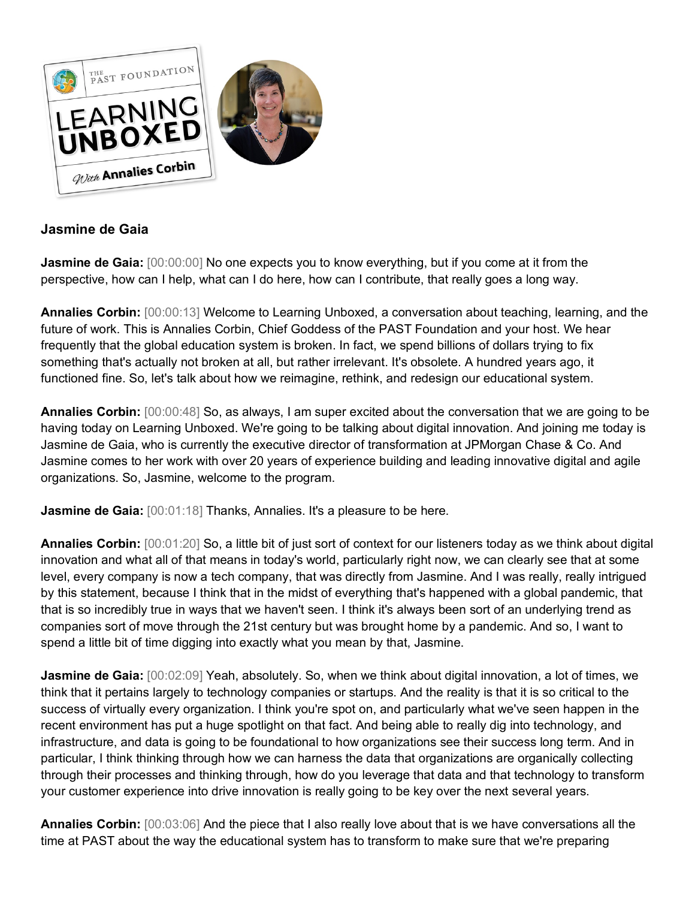

## **Jasmine de Gaia**

**Jasmine de Gaia:**  $[00:00:00]$  No one expects you to know everything, but if you come at it from the perspective, how can I help, what can I do here, how can I contribute, that really goes a long way.

**Annalies Corbin:** [00:00:13] Welcome to Learning Unboxed, a conversation about teaching, learning, and the future of work. This is Annalies Corbin, Chief Goddess of the PAST Foundation and your host. We hear frequently that the global education system is broken. In fact, we spend billions of dollars trying to fix something that's actually not broken at all, but rather irrelevant. It's obsolete. A hundred years ago, it functioned fine. So, let's talk about how we reimagine, rethink, and redesign our educational system.

**Annalies Corbin:** [00:00:48] So, as always, I am super excited about the conversation that we are going to be having today on Learning Unboxed. We're going to be talking about digital innovation. And joining me today is Jasmine de Gaia, who is currently the executive director of transformation at JPMorgan Chase & Co. And Jasmine comes to her work with over 20 years of experience building and leading innovative digital and agile organizations. So, Jasmine, welcome to the program.

**Jasmine de Gaia:** [00:01:18] Thanks, Annalies. It's a pleasure to be here.

**Annalies Corbin:** [00:01:20] So, a little bit of just sort of context for our listeners today as we think about digital innovation and what all of that means in today's world, particularly right now, we can clearly see that at some level, every company is now a tech company, that was directly from Jasmine. And I was really, really intrigued by this statement, because I think that in the midst of everything that's happened with a global pandemic, that that is so incredibly true in ways that we haven't seen. I think it's always been sort of an underlying trend as companies sort of move through the 21st century but was brought home by a pandemic. And so, I want to spend a little bit of time digging into exactly what you mean by that, Jasmine.

**Jasmine de Gaia:** [00:02:09] Yeah, absolutely. So, when we think about digital innovation, a lot of times, we think that it pertains largely to technology companies or startups. And the reality is that it is so critical to the success of virtually every organization. I think you're spot on, and particularly what we've seen happen in the recent environment has put a huge spotlight on that fact. And being able to really dig into technology, and infrastructure, and data is going to be foundational to how organizations see their success long term. And in particular, I think thinking through how we can harness the data that organizations are organically collecting through their processes and thinking through, how do you leverage that data and that technology to transform your customer experience into drive innovation is really going to be key over the next several years.

**Annalies Corbin:** [00:03:06] And the piece that I also really love about that is we have conversations all the time at PAST about the way the educational system has to transform to make sure that we're preparing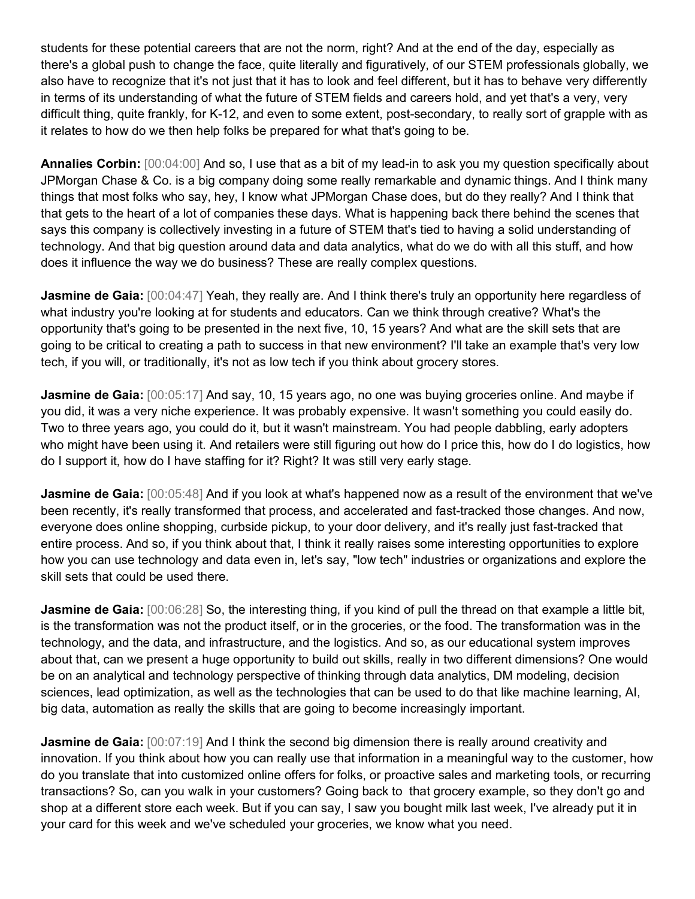students for these potential careers that are not the norm, right? And at the end of the day, especially as there's a global push to change the face, quite literally and figuratively, of our STEM professionals globally, we also have to recognize that it's not just that it has to look and feel different, but it has to behave very differently in terms of its understanding of what the future of STEM fields and careers hold, and yet that's a very, very difficult thing, quite frankly, for K-12, and even to some extent, post-secondary, to really sort of grapple with as it relates to how do we then help folks be prepared for what that's going to be.

**Annalies Corbin:** [00:04:00] And so, I use that as a bit of my lead-in to ask you my question specifically about JPMorgan Chase & Co. is a big company doing some really remarkable and dynamic things. And I think many things that most folks who say, hey, I know what JPMorgan Chase does, but do they really? And I think that that gets to the heart of a lot of companies these days. What is happening back there behind the scenes that says this company is collectively investing in a future of STEM that's tied to having a solid understanding of technology. And that big question around data and data analytics, what do we do with all this stuff, and how does it influence the way we do business? These are really complex questions.

**Jasmine de Gaia:** [00:04:47] Yeah, they really are. And I think there's truly an opportunity here regardless of what industry you're looking at for students and educators. Can we think through creative? What's the opportunity that's going to be presented in the next five, 10, 15 years? And what are the skill sets that are going to be critical to creating a path to success in that new environment? I'll take an example that's very low tech, if you will, or traditionally, it's not as low tech if you think about grocery stores.

**Jasmine de Gaia:**  $[00:05:17]$  And say, 10, 15 years ago, no one was buying groceries online. And maybe if you did, it was a very niche experience. It was probably expensive. It wasn't something you could easily do. Two to three years ago, you could do it, but it wasn't mainstream. You had people dabbling, early adopters who might have been using it. And retailers were still figuring out how do I price this, how do I do logistics, how do I support it, how do I have staffing for it? Right? It was still very early stage.

**Jasmine de Gaia:**  $[00:05:48]$  And if you look at what's happened now as a result of the environment that we've been recently, it's really transformed that process, and accelerated and fast-tracked those changes. And now, everyone does online shopping, curbside pickup, to your door delivery, and it's really just fast-tracked that entire process. And so, if you think about that, I think it really raises some interesting opportunities to explore how you can use technology and data even in, let's say, "low tech" industries or organizations and explore the skill sets that could be used there.

**Jasmine de Gaia:** [00:06:28] So, the interesting thing, if you kind of pull the thread on that example a little bit, is the transformation was not the product itself, or in the groceries, or the food. The transformation was in the technology, and the data, and infrastructure, and the logistics. And so, as our educational system improves about that, can we present a huge opportunity to build out skills, really in two different dimensions? One would be on an analytical and technology perspective of thinking through data analytics, DM modeling, decision sciences, lead optimization, as well as the technologies that can be used to do that like machine learning, AI, big data, automation as really the skills that are going to become increasingly important.

**Jasmine de Gaia:** [00:07:19] And I think the second big dimension there is really around creativity and innovation. If you think about how you can really use that information in a meaningful way to the customer, how do you translate that into customized online offers for folks, or proactive sales and marketing tools, or recurring transactions? So, can you walk in your customers? Going back to that grocery example, so they don't go and shop at a different store each week. But if you can say, I saw you bought milk last week, I've already put it in your card for this week and we've scheduled your groceries, we know what you need.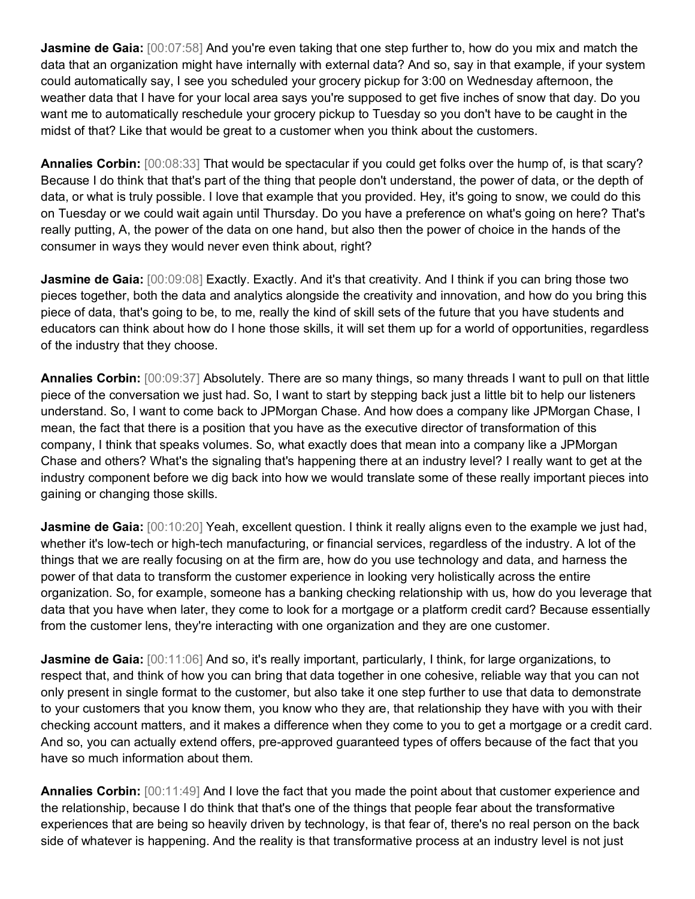**Jasmine de Gaia:**  $[00:07:58]$  And you're even taking that one step further to, how do you mix and match the data that an organization might have internally with external data? And so, say in that example, if your system could automatically say, I see you scheduled your grocery pickup for 3:00 on Wednesday afternoon, the weather data that I have for your local area says you're supposed to get five inches of snow that day. Do you want me to automatically reschedule your grocery pickup to Tuesday so you don't have to be caught in the midst of that? Like that would be great to a customer when you think about the customers.

**Annalies Corbin:** [00:08:33] That would be spectacular if you could get folks over the hump of, is that scary? Because I do think that that's part of the thing that people don't understand, the power of data, or the depth of data, or what is truly possible. I love that example that you provided. Hey, it's going to snow, we could do this on Tuesday or we could wait again until Thursday. Do you have a preference on what's going on here? That's really putting, A, the power of the data on one hand, but also then the power of choice in the hands of the consumer in ways they would never even think about, right?

**Jasmine de Gaia:** [00:09:08] Exactly. Exactly. And it's that creativity. And I think if you can bring those two pieces together, both the data and analytics alongside the creativity and innovation, and how do you bring this piece of data, that's going to be, to me, really the kind of skill sets of the future that you have students and educators can think about how do I hone those skills, it will set them up for a world of opportunities, regardless of the industry that they choose.

**Annalies Corbin:** [00:09:37] Absolutely. There are so many things, so many threads I want to pull on that little piece of the conversation we just had. So, I want to start by stepping back just a little bit to help our listeners understand. So, I want to come back to JPMorgan Chase. And how does a company like JPMorgan Chase, I mean, the fact that there is a position that you have as the executive director of transformation of this company, I think that speaks volumes. So, what exactly does that mean into a company like a JPMorgan Chase and others? What's the signaling that's happening there at an industry level? I really want to get at the industry component before we dig back into how we would translate some of these really important pieces into gaining or changing those skills.

**Jasmine de Gaia:** [00:10:20] Yeah, excellent question. I think it really aligns even to the example we just had, whether it's low-tech or high-tech manufacturing, or financial services, regardless of the industry. A lot of the things that we are really focusing on at the firm are, how do you use technology and data, and harness the power of that data to transform the customer experience in looking very holistically across the entire organization. So, for example, someone has a banking checking relationship with us, how do you leverage that data that you have when later, they come to look for a mortgage or a platform credit card? Because essentially from the customer lens, they're interacting with one organization and they are one customer.

**Jasmine de Gaia:** [00:11:06] And so, it's really important, particularly, I think, for large organizations, to respect that, and think of how you can bring that data together in one cohesive, reliable way that you can not only present in single format to the customer, but also take it one step further to use that data to demonstrate to your customers that you know them, you know who they are, that relationship they have with you with their checking account matters, and it makes a difference when they come to you to get a mortgage or a credit card. And so, you can actually extend offers, pre-approved guaranteed types of offers because of the fact that you have so much information about them.

**Annalies Corbin:** [00:11:49] And I love the fact that you made the point about that customer experience and the relationship, because I do think that that's one of the things that people fear about the transformative experiences that are being so heavily driven by technology, is that fear of, there's no real person on the back side of whatever is happening. And the reality is that transformative process at an industry level is not just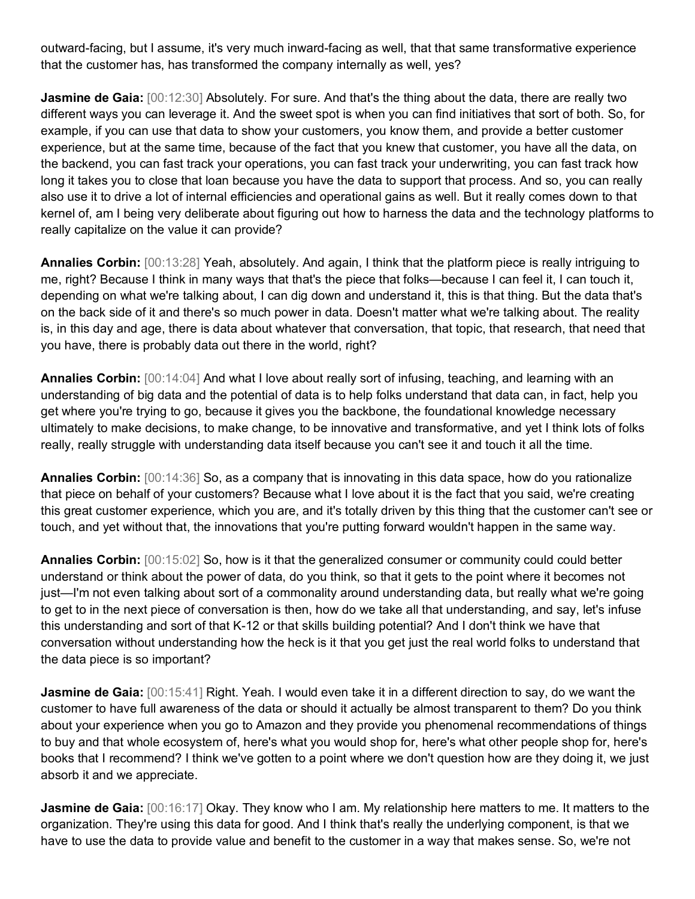outward-facing, but I assume, it's very much inward-facing as well, that that same transformative experience that the customer has, has transformed the company internally as well, yes?

**Jasmine de Gaia:** [00:12:30] Absolutely. For sure. And that's the thing about the data, there are really two different ways you can leverage it. And the sweet spot is when you can find initiatives that sort of both. So, for example, if you can use that data to show your customers, you know them, and provide a better customer experience, but at the same time, because of the fact that you knew that customer, you have all the data, on the backend, you can fast track your operations, you can fast track your underwriting, you can fast track how long it takes you to close that loan because you have the data to support that process. And so, you can really also use it to drive a lot of internal efficiencies and operational gains as well. But it really comes down to that kernel of, am I being very deliberate about figuring out how to harness the data and the technology platforms to really capitalize on the value it can provide?

**Annalies Corbin:** [00:13:28] Yeah, absolutely. And again, I think that the platform piece is really intriguing to me, right? Because I think in many ways that that's the piece that folks—because I can feel it, I can touch it, depending on what we're talking about, I can dig down and understand it, this is that thing. But the data that's on the back side of it and there's so much power in data. Doesn't matter what we're talking about. The reality is, in this day and age, there is data about whatever that conversation, that topic, that research, that need that you have, there is probably data out there in the world, right?

**Annalies Corbin:** [00:14:04] And what I love about really sort of infusing, teaching, and learning with an understanding of big data and the potential of data is to help folks understand that data can, in fact, help you get where you're trying to go, because it gives you the backbone, the foundational knowledge necessary ultimately to make decisions, to make change, to be innovative and transformative, and yet I think lots of folks really, really struggle with understanding data itself because you can't see it and touch it all the time.

**Annalies Corbin:** [00:14:36] So, as a company that is innovating in this data space, how do you rationalize that piece on behalf of your customers? Because what I love about it is the fact that you said, we're creating this great customer experience, which you are, and it's totally driven by this thing that the customer can't see or touch, and yet without that, the innovations that you're putting forward wouldn't happen in the same way.

**Annalies Corbin:** [00:15:02] So, how is it that the generalized consumer or community could could better understand or think about the power of data, do you think, so that it gets to the point where it becomes not just—I'm not even talking about sort of a commonality around understanding data, but really what we're going to get to in the next piece of conversation is then, how do we take all that understanding, and say, let's infuse this understanding and sort of that K-12 or that skills building potential? And I don't think we have that conversation without understanding how the heck is it that you get just the real world folks to understand that the data piece is so important?

**Jasmine de Gaia:** [00:15:41] Right. Yeah. I would even take it in a different direction to say, do we want the customer to have full awareness of the data or should it actually be almost transparent to them? Do you think about your experience when you go to Amazon and they provide you phenomenal recommendations of things to buy and that whole ecosystem of, here's what you would shop for, here's what other people shop for, here's books that I recommend? I think we've gotten to a point where we don't question how are they doing it, we just absorb it and we appreciate.

**Jasmine de Gaia:**  $[00:16:17]$  Okay. They know who I am. My relationship here matters to me. It matters to the organization. They're using this data for good. And I think that's really the underlying component, is that we have to use the data to provide value and benefit to the customer in a way that makes sense. So, we're not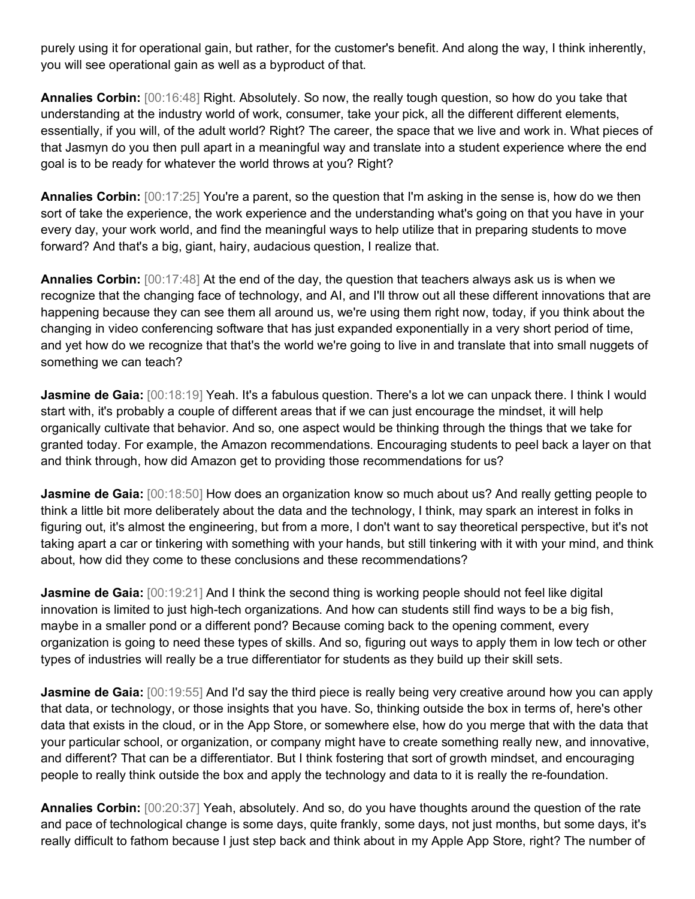purely using it for operational gain, but rather, for the customer's benefit. And along the way, I think inherently, you will see operational gain as well as a byproduct of that.

**Annalies Corbin:** [00:16:48] Right. Absolutely. So now, the really tough question, so how do you take that understanding at the industry world of work, consumer, take your pick, all the different different elements, essentially, if you will, of the adult world? Right? The career, the space that we live and work in. What pieces of that Jasmyn do you then pull apart in a meaningful way and translate into a student experience where the end goal is to be ready for whatever the world throws at you? Right?

**Annalies Corbin:** [00:17:25] You're a parent, so the question that I'm asking in the sense is, how do we then sort of take the experience, the work experience and the understanding what's going on that you have in your every day, your work world, and find the meaningful ways to help utilize that in preparing students to move forward? And that's a big, giant, hairy, audacious question, I realize that.

**Annalies Corbin:** [00:17:48] At the end of the day, the question that teachers always ask us is when we recognize that the changing face of technology, and AI, and I'll throw out all these different innovations that are happening because they can see them all around us, we're using them right now, today, if you think about the changing in video conferencing software that has just expanded exponentially in a very short period of time, and yet how do we recognize that that's the world we're going to live in and translate that into small nuggets of something we can teach?

Jasmine de Gaia: [00:18:19] Yeah. It's a fabulous question. There's a lot we can unpack there. I think I would start with, it's probably a couple of different areas that if we can just encourage the mindset, it will help organically cultivate that behavior. And so, one aspect would be thinking through the things that we take for granted today. For example, the Amazon recommendations. Encouraging students to peel back a layer on that and think through, how did Amazon get to providing those recommendations for us?

**Jasmine de Gaia:** [00:18:50] How does an organization know so much about us? And really getting people to think a little bit more deliberately about the data and the technology, I think, may spark an interest in folks in figuring out, it's almost the engineering, but from a more, I don't want to say theoretical perspective, but it's not taking apart a car or tinkering with something with your hands, but still tinkering with it with your mind, and think about, how did they come to these conclusions and these recommendations?

**Jasmine de Gaia:** [00:19:21] And I think the second thing is working people should not feel like digital innovation is limited to just high-tech organizations. And how can students still find ways to be a big fish, maybe in a smaller pond or a different pond? Because coming back to the opening comment, every organization is going to need these types of skills. And so, figuring out ways to apply them in low tech or other types of industries will really be a true differentiator for students as they build up their skill sets.

**Jasmine de Gaia:** [00:19:55] And I'd say the third piece is really being very creative around how you can apply that data, or technology, or those insights that you have. So, thinking outside the box in terms of, here's other data that exists in the cloud, or in the App Store, or somewhere else, how do you merge that with the data that your particular school, or organization, or company might have to create something really new, and innovative, and different? That can be a differentiator. But I think fostering that sort of growth mindset, and encouraging people to really think outside the box and apply the technology and data to it is really the re-foundation.

**Annalies Corbin:** [00:20:37] Yeah, absolutely. And so, do you have thoughts around the question of the rate and pace of technological change is some days, quite frankly, some days, not just months, but some days, it's really difficult to fathom because I just step back and think about in my Apple App Store, right? The number of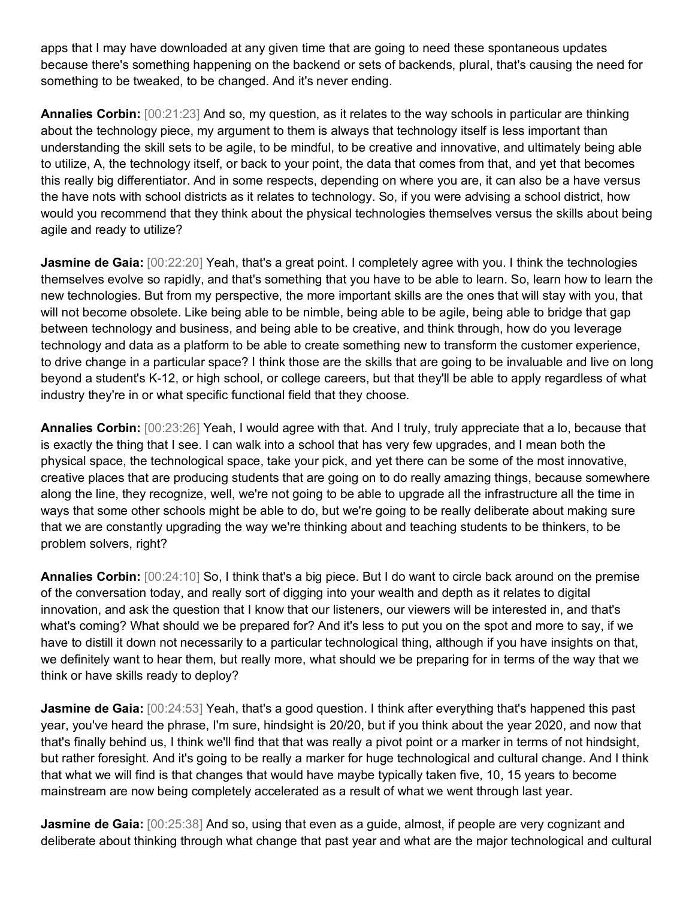apps that I may have downloaded at any given time that are going to need these spontaneous updates because there's something happening on the backend or sets of backends, plural, that's causing the need for something to be tweaked, to be changed. And it's never ending.

**Annalies Corbin:** [00:21:23] And so, my question, as it relates to the way schools in particular are thinking about the technology piece, my argument to them is always that technology itself is less important than understanding the skill sets to be agile, to be mindful, to be creative and innovative, and ultimately being able to utilize, A, the technology itself, or back to your point, the data that comes from that, and yet that becomes this really big differentiator. And in some respects, depending on where you are, it can also be a have versus the have nots with school districts as it relates to technology. So, if you were advising a school district, how would you recommend that they think about the physical technologies themselves versus the skills about being agile and ready to utilize?

**Jasmine de Gaia:** [00:22:20] Yeah, that's a great point. I completely agree with you. I think the technologies themselves evolve so rapidly, and that's something that you have to be able to learn. So, learn how to learn the new technologies. But from my perspective, the more important skills are the ones that will stay with you, that will not become obsolete. Like being able to be nimble, being able to be agile, being able to bridge that gap between technology and business, and being able to be creative, and think through, how do you leverage technology and data as a platform to be able to create something new to transform the customer experience, to drive change in a particular space? I think those are the skills that are going to be invaluable and live on long beyond a student's K-12, or high school, or college careers, but that they'll be able to apply regardless of what industry they're in or what specific functional field that they choose.

**Annalies Corbin:** [00:23:26] Yeah, I would agree with that. And I truly, truly appreciate that a lo, because that is exactly the thing that I see. I can walk into a school that has very few upgrades, and I mean both the physical space, the technological space, take your pick, and yet there can be some of the most innovative, creative places that are producing students that are going on to do really amazing things, because somewhere along the line, they recognize, well, we're not going to be able to upgrade all the infrastructure all the time in ways that some other schools might be able to do, but we're going to be really deliberate about making sure that we are constantly upgrading the way we're thinking about and teaching students to be thinkers, to be problem solvers, right?

**Annalies Corbin:** [00:24:10] So, I think that's a big piece. But I do want to circle back around on the premise of the conversation today, and really sort of digging into your wealth and depth as it relates to digital innovation, and ask the question that I know that our listeners, our viewers will be interested in, and that's what's coming? What should we be prepared for? And it's less to put you on the spot and more to say, if we have to distill it down not necessarily to a particular technological thing, although if you have insights on that, we definitely want to hear them, but really more, what should we be preparing for in terms of the way that we think or have skills ready to deploy?

**Jasmine de Gaia:** [00:24:53] Yeah, that's a good question. I think after everything that's happened this past year, you've heard the phrase, I'm sure, hindsight is 20/20, but if you think about the year 2020, and now that that's finally behind us, I think we'll find that that was really a pivot point or a marker in terms of not hindsight, but rather foresight. And it's going to be really a marker for huge technological and cultural change. And I think that what we will find is that changes that would have maybe typically taken five, 10, 15 years to become mainstream are now being completely accelerated as a result of what we went through last year.

**Jasmine de Gaia:** [00:25:38] And so, using that even as a guide, almost, if people are very cognizant and deliberate about thinking through what change that past year and what are the major technological and cultural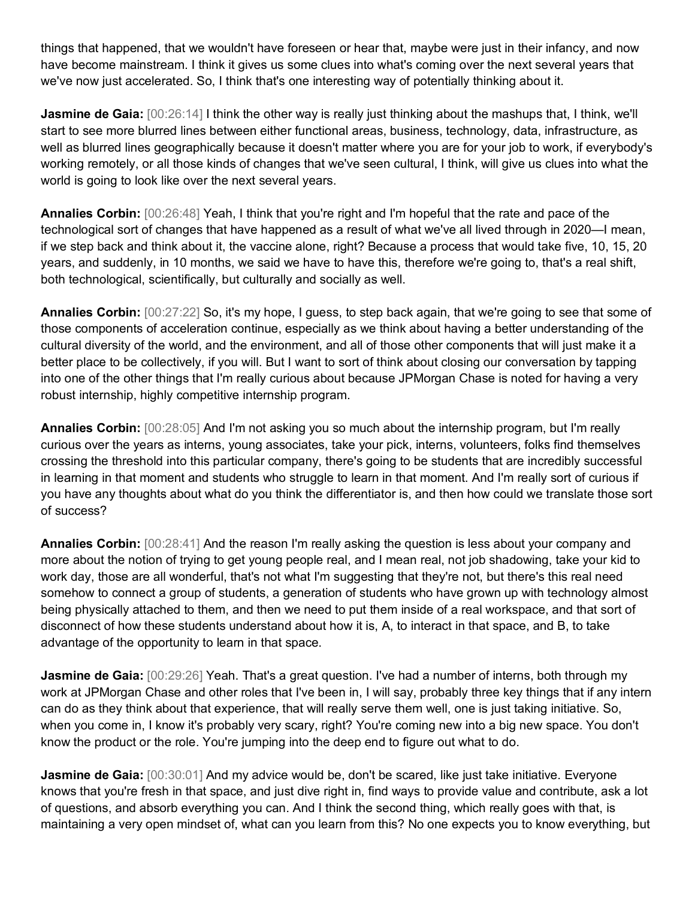things that happened, that we wouldn't have foreseen or hear that, maybe were just in their infancy, and now have become mainstream. I think it gives us some clues into what's coming over the next several years that we've now just accelerated. So, I think that's one interesting way of potentially thinking about it.

**Jasmine de Gaia:**  $[00:26:14]$  I think the other way is really just thinking about the mashups that, I think, we'll start to see more blurred lines between either functional areas, business, technology, data, infrastructure, as well as blurred lines geographically because it doesn't matter where you are for your job to work, if everybody's working remotely, or all those kinds of changes that we've seen cultural, I think, will give us clues into what the world is going to look like over the next several years.

**Annalies Corbin:** [00:26:48] Yeah, I think that you're right and I'm hopeful that the rate and pace of the technological sort of changes that have happened as a result of what we've all lived through in 2020—I mean, if we step back and think about it, the vaccine alone, right? Because a process that would take five, 10, 15, 20 years, and suddenly, in 10 months, we said we have to have this, therefore we're going to, that's a real shift, both technological, scientifically, but culturally and socially as well.

**Annalies Corbin:** [00:27:22] So, it's my hope, I guess, to step back again, that we're going to see that some of those components of acceleration continue, especially as we think about having a better understanding of the cultural diversity of the world, and the environment, and all of those other components that will just make it a better place to be collectively, if you will. But I want to sort of think about closing our conversation by tapping into one of the other things that I'm really curious about because JPMorgan Chase is noted for having a very robust internship, highly competitive internship program.

**Annalies Corbin:** [00:28:05] And I'm not asking you so much about the internship program, but I'm really curious over the years as interns, young associates, take your pick, interns, volunteers, folks find themselves crossing the threshold into this particular company, there's going to be students that are incredibly successful in learning in that moment and students who struggle to learn in that moment. And I'm really sort of curious if you have any thoughts about what do you think the differentiator is, and then how could we translate those sort of success?

**Annalies Corbin:** [00:28:41] And the reason I'm really asking the question is less about your company and more about the notion of trying to get young people real, and I mean real, not job shadowing, take your kid to work day, those are all wonderful, that's not what I'm suggesting that they're not, but there's this real need somehow to connect a group of students, a generation of students who have grown up with technology almost being physically attached to them, and then we need to put them inside of a real workspace, and that sort of disconnect of how these students understand about how it is, A, to interact in that space, and B, to take advantage of the opportunity to learn in that space.

**Jasmine de Gaia:** [00:29:26] Yeah. That's a great question. I've had a number of interns, both through my work at JPMorgan Chase and other roles that I've been in, I will say, probably three key things that if any intern can do as they think about that experience, that will really serve them well, one is just taking initiative. So, when you come in, I know it's probably very scary, right? You're coming new into a big new space. You don't know the product or the role. You're jumping into the deep end to figure out what to do.

**Jasmine de Gaia:** [00:30:01] And my advice would be, don't be scared, like just take initiative. Everyone knows that you're fresh in that space, and just dive right in, find ways to provide value and contribute, ask a lot of questions, and absorb everything you can. And I think the second thing, which really goes with that, is maintaining a very open mindset of, what can you learn from this? No one expects you to know everything, but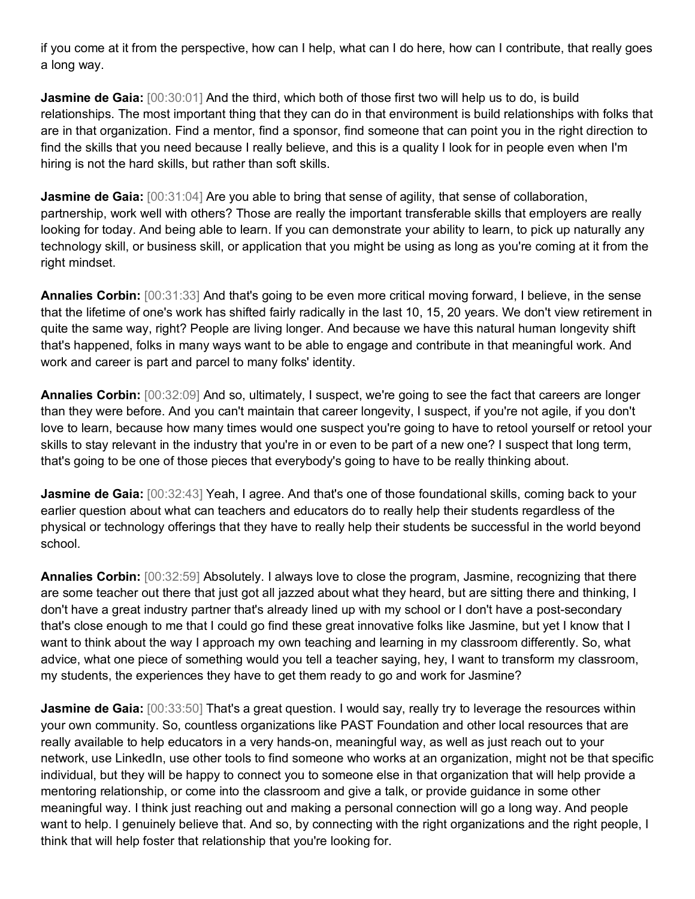if you come at it from the perspective, how can I help, what can I do here, how can I contribute, that really goes a long way.

**Jasmine de Gaia:**  $[00:30:01]$  And the third, which both of those first two will help us to do, is build relationships. The most important thing that they can do in that environment is build relationships with folks that are in that organization. Find a mentor, find a sponsor, find someone that can point you in the right direction to find the skills that you need because I really believe, and this is a quality I look for in people even when I'm hiring is not the hard skills, but rather than soft skills.

**Jasmine de Gaia:**  $[00:31:04]$  Are you able to bring that sense of agility, that sense of collaboration, partnership, work well with others? Those are really the important transferable skills that employers are really looking for today. And being able to learn. If you can demonstrate your ability to learn, to pick up naturally any technology skill, or business skill, or application that you might be using as long as you're coming at it from the right mindset.

**Annalies Corbin:** [00:31:33] And that's going to be even more critical moving forward, I believe, in the sense that the lifetime of one's work has shifted fairly radically in the last 10, 15, 20 years. We don't view retirement in quite the same way, right? People are living longer. And because we have this natural human longevity shift that's happened, folks in many ways want to be able to engage and contribute in that meaningful work. And work and career is part and parcel to many folks' identity.

**Annalies Corbin:** [00:32:09] And so, ultimately, I suspect, we're going to see the fact that careers are longer than they were before. And you can't maintain that career longevity, I suspect, if you're not agile, if you don't love to learn, because how many times would one suspect you're going to have to retool yourself or retool your skills to stay relevant in the industry that you're in or even to be part of a new one? I suspect that long term, that's going to be one of those pieces that everybody's going to have to be really thinking about.

**Jasmine de Gaia:**  $[00:32:43]$  Yeah, I agree. And that's one of those foundational skills, coming back to your earlier question about what can teachers and educators do to really help their students regardless of the physical or technology offerings that they have to really help their students be successful in the world beyond school.

**Annalies Corbin:** [00:32:59] Absolutely. I always love to close the program, Jasmine, recognizing that there are some teacher out there that just got all jazzed about what they heard, but are sitting there and thinking, I don't have a great industry partner that's already lined up with my school or I don't have a post-secondary that's close enough to me that I could go find these great innovative folks like Jasmine, but yet I know that I want to think about the way I approach my own teaching and learning in my classroom differently. So, what advice, what one piece of something would you tell a teacher saying, hey, I want to transform my classroom, my students, the experiences they have to get them ready to go and work for Jasmine?

**Jasmine de Gaia:** [00:33:50] That's a great question. I would say, really try to leverage the resources within your own community. So, countless organizations like PAST Foundation and other local resources that are really available to help educators in a very hands-on, meaningful way, as well as just reach out to your network, use LinkedIn, use other tools to find someone who works at an organization, might not be that specific individual, but they will be happy to connect you to someone else in that organization that will help provide a mentoring relationship, or come into the classroom and give a talk, or provide guidance in some other meaningful way. I think just reaching out and making a personal connection will go a long way. And people want to help. I genuinely believe that. And so, by connecting with the right organizations and the right people, I think that will help foster that relationship that you're looking for.